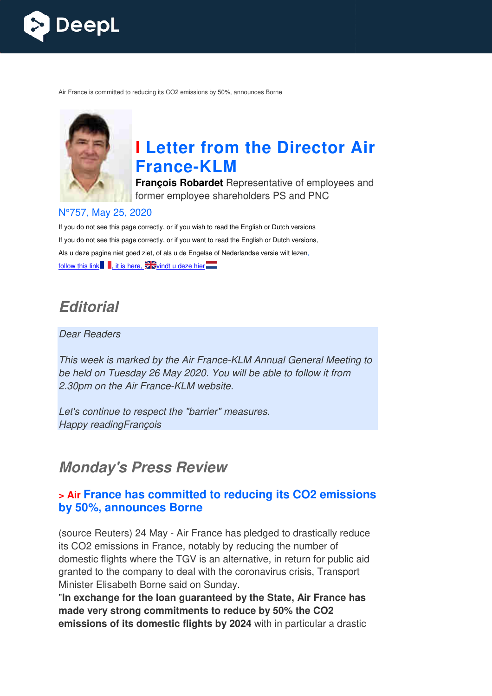

Air France is committed to reducing its CO2 emissions by 50%, announces Borne



# **I Letter from the Director Air France France-KLM**

**François Robardet** Representative of employees and former employee shareholders PS and PNC

#### N°757, May 25, 2020

If you do not see this page correctly, or if you wish to read the English or Dutch versions If you do not see this page correctly, or if you want to read the English or Dutch versions, Als u deze pagina niet goed ziet, of als u de Engelse of Nederlandse versie wilt lezen, follow this link  $\blacksquare$ , it is here,  $\mathbb{Z}$  vindt u deze hier

## **Editorial**

#### Dear Readers

This week is marked by the Air France-KLM Annual General Meeting to be held on Tuesday 26 May 2020. You will be able to follow it from 2.30pm on the Air France-KLM website.

Let's continue to respect the "barrier" measures. Happy readingFrançois

## **Monday's Press Review**

#### **> Air France has committed to reducing its CO2 emissions by 50%, announces Borne**

(source Reuters) 24 May - Air France has pledged to drastically reduce its CO2 emissions in France, notably by reducing the number of domestic flights where the TGV is an alternative, in return for public aid granted to the company to deal with the coronavirus crisis, Transport Minister Elisabeth Borne said on Sunday.

"**In exchange for the loan guaranteed by the State, Air France has or made very strong commitments to reduce by 50% the CO2 emissions of its domestic flights by 2024** with in particular a drastic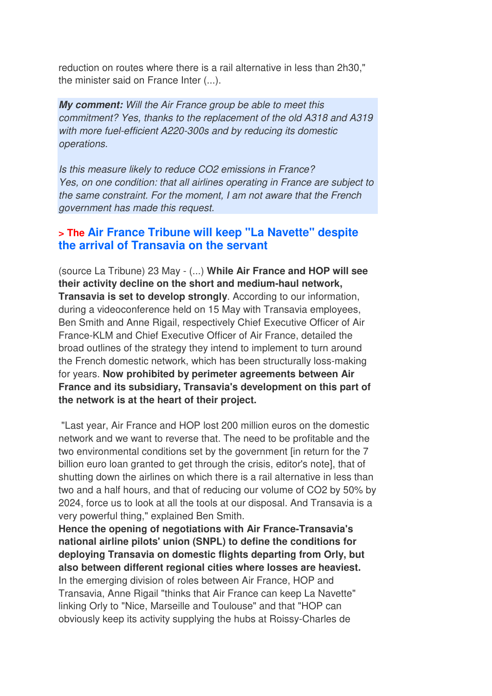reduction on routes where there is a rail alternative in less than 2h30," the minister said on France Inter (...).

**My comment:** Will the Air France group be able to meet this commitment? Yes, thanks to the replacement of the old A318 and A319 with more fuel-efficient A220-300s and by reducing its domestic operations.

Is this measure likely to reduce CO2 emissions in France? Yes, on one condition: that all airlines operating in France are subject to the same constraint. For the moment, I am not aware that the French government has made this request.

#### **> The Air France Tribune will keep "La Navette" despite the arrival of Transavia on the servant**

(source La Tribune) 23 May - (...) **While Air France and HOP will see their activity decline on the short and medium-haul network, Transavia is set to develop strongly**. According to our information, during a videoconference held on 15 May with Transavia employees, Ben Smith and Anne Rigail, respectively Chief Executive Officer of Air France-KLM and Chief Executive Officer of Air France, detailed the broad outlines of the strategy they intend to implement to turn around the French domestic network, which has been structurally loss-making for years. **Now prohibited by perimeter agreements between Air France and its subsidiary, Transavia's development on this part of the network is at the heart of their project.** 

 "Last year, Air France and HOP lost 200 million euros on the domestic network and we want to reverse that. The need to be profitable and the two environmental conditions set by the government [in return for the 7 billion euro loan granted to get through the crisis, editor's note], that of shutting down the airlines on which there is a rail alternative in less than two and a half hours, and that of reducing our volume of CO2 by 50% by 2024, force us to look at all the tools at our disposal. And Transavia is a very powerful thing," explained Ben Smith.

**Hence the opening of negotiations with Air France-Transavia's national airline pilots' union (SNPL) to define the conditions for deploying Transavia on domestic flights departing from Orly, but also between different regional cities where losses are heaviest.**  In the emerging division of roles between Air France, HOP and Transavia, Anne Rigail "thinks that Air France can keep La Navette" linking Orly to "Nice, Marseille and Toulouse" and that "HOP can obviously keep its activity supplying the hubs at Roissy-Charles de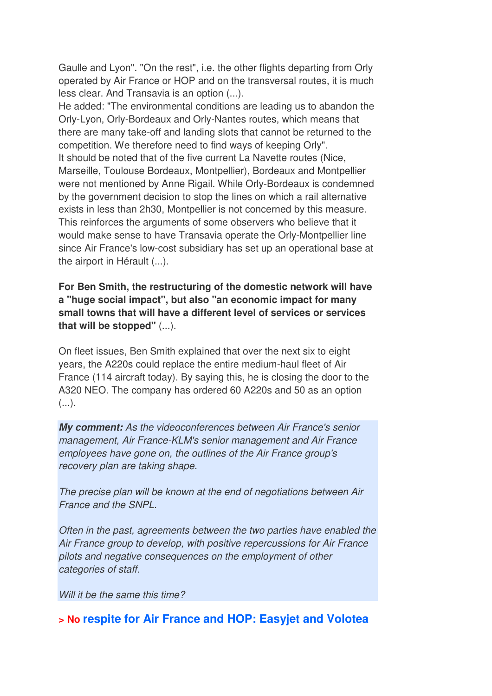Gaulle and Lyon". "On the rest", i.e. the other flights departing from Orly operated by Air France or HOP and on the transversal routes, it is much less clear. And Transavia is an option (...).

He added: "The environmental conditions are leading us to abandon the Orly-Lyon, Orly-Bordeaux and Orly-Nantes routes, which means that there are many take-off and landing slots that cannot be returned to the competition. We therefore need to find ways of keeping Orly". It should be noted that of the five current La Navette routes (Nice, Marseille, Toulouse Bordeaux, Montpellier), Bordeaux and Montpellier were not mentioned by Anne Rigail. While Orly-Bordeaux is condemned by the government decision to stop the lines on which a rail alternative exists in less than 2h30, Montpellier is not concerned by this measure. This reinforces the arguments of some observers who believe that it would make sense to have Transavia operate the Orly-Montpellier line since Air France's low-cost subsidiary has set up an operational base at the airport in Hérault (...).

**For Ben Smith, the restructuring of the domestic network will have a "huge social impact", but also "an economic impact for many small towns that will have a different level of services or services that will be stopped"** (...).

On fleet issues, Ben Smith explained that over the next six to eight years, the A220s could replace the entire medium-haul fleet of Air France (114 aircraft today). By saying this, he is closing the door to the A320 NEO. The company has ordered 60 A220s and 50 as an option  $($ ...).

**My comment:** As the videoconferences between Air France's senior management, Air France-KLM's senior management and Air France employees have gone on, the outlines of the Air France group's recovery plan are taking shape.

The precise plan will be known at the end of negotiations between Air France and the SNPL.

Often in the past, agreements between the two parties have enabled the Air France group to develop, with positive repercussions for Air France pilots and negative consequences on the employment of other categories of staff.

Will it be the same this time?

#### **> No respite for Air France and HOP: Easyjet and Volotea**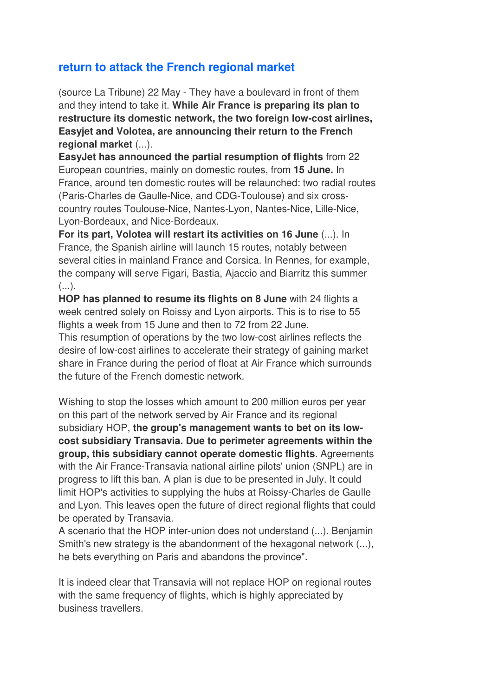### **return to attack the French regional market**

(source La Tribune) 22 May - They have a boulevard in front of them and they intend to take it. **While Air France is preparing its plan to restructure its domestic network, the two foreign low-cost airlines, Easyjet and Volotea, are announcing their return to the French regional market** (...).

**EasyJet has announced the partial resumption of flights** from 22 European countries, mainly on domestic routes, from **15 June.** In France, around ten domestic routes will be relaunched: two radial routes (Paris-Charles de Gaulle-Nice, and CDG-Toulouse) and six crosscountry routes Toulouse-Nice, Nantes-Lyon, Nantes-Nice, Lille-Nice, Lyon-Bordeaux, and Nice-Bordeaux.

**For its part, Volotea will restart its activities on 16 June** (...). In France, the Spanish airline will launch 15 routes, notably between several cities in mainland France and Corsica. In Rennes, for example, the company will serve Figari, Bastia, Ajaccio and Biarritz this summer  $(\ldots).$ 

**HOP has planned to resume its flights on 8 June** with 24 flights a week centred solely on Roissy and Lyon airports. This is to rise to 55 flights a week from 15 June and then to 72 from 22 June.

This resumption of operations by the two low-cost airlines reflects the desire of low-cost airlines to accelerate their strategy of gaining market share in France during the period of float at Air France which surrounds the future of the French domestic network.

Wishing to stop the losses which amount to 200 million euros per year on this part of the network served by Air France and its regional subsidiary HOP, **the group's management wants to bet on its lowcost subsidiary Transavia. Due to perimeter agreements within the group, this subsidiary cannot operate domestic flights**. Agreements with the Air France-Transavia national airline pilots' union (SNPL) are in progress to lift this ban. A plan is due to be presented in July. It could limit HOP's activities to supplying the hubs at Roissy-Charles de Gaulle and Lyon. This leaves open the future of direct regional flights that could be operated by Transavia.

A scenario that the HOP inter-union does not understand (...). Benjamin Smith's new strategy is the abandonment of the hexagonal network (...), he bets everything on Paris and abandons the province".

It is indeed clear that Transavia will not replace HOP on regional routes with the same frequency of flights, which is highly appreciated by business travellers.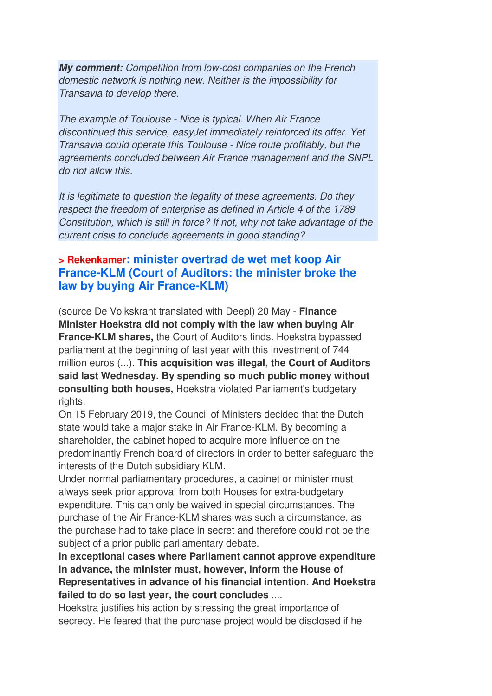**My comment:** Competition from low-cost companies on the French domestic network is nothing new. Neither is the impossibility for Transavia to develop there.

The example of Toulouse - Nice is typical. When Air France discontinued this service, easyJet immediately reinforced its offer. Yet Transavia could operate this Toulouse - Nice route profitably, but the agreements concluded between Air France management and the SNPL do not allow this.

It is legitimate to question the legality of these agreements. Do they respect the freedom of enterprise as defined in Article 4 of the 1789 Constitution, which is still in force? If not, why not take advantage of the current crisis to conclude agreements in good standing?

#### **> Rekenkamer: minister overtrad de wet met koop Air France-KLM (Court of Auditors: the minister broke the law by buying Air France-KLM)**

(source De Volkskrant translated with Deepl) 20 May - **Finance Minister Hoekstra did not comply with the law when buying Air France-KLM shares,** the Court of Auditors finds. Hoekstra bypassed parliament at the beginning of last year with this investment of 744 million euros (...). **This acquisition was illegal, the Court of Auditors said last Wednesday. By spending so much public money without consulting both houses,** Hoekstra violated Parliament's budgetary rights.

On 15 February 2019, the Council of Ministers decided that the Dutch state would take a major stake in Air France-KLM. By becoming a shareholder, the cabinet hoped to acquire more influence on the predominantly French board of directors in order to better safeguard the interests of the Dutch subsidiary KLM.

Under normal parliamentary procedures, a cabinet or minister must always seek prior approval from both Houses for extra-budgetary expenditure. This can only be waived in special circumstances. The purchase of the Air France-KLM shares was such a circumstance, as the purchase had to take place in secret and therefore could not be the subject of a prior public parliamentary debate.

**In exceptional cases where Parliament cannot approve expenditure in advance, the minister must, however, inform the House of Representatives in advance of his financial intention. And Hoekstra failed to do so last year, the court concludes** ....

Hoekstra justifies his action by stressing the great importance of secrecy. He feared that the purchase project would be disclosed if he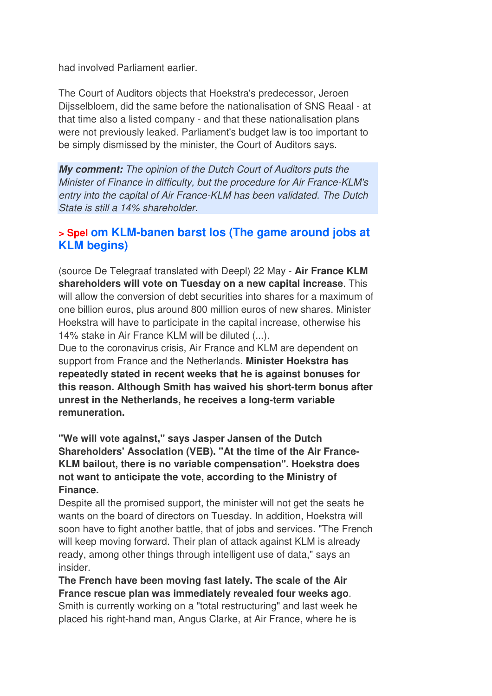had involved Parliament earlier.

The Court of Auditors objects that Hoekstra's predecessor, Jeroen Dijsselbloem, did the same before the nationalisation of SNS Reaal - at that time also a listed company - and that these nationalisation plans were not previously leaked. Parliament's budget law is too important to be simply dismissed by the minister, the Court of Auditors says.

**My comment:** The opinion of the Dutch Court of Auditors puts the Minister of Finance in difficulty, but the procedure for Air France-KLM's entry into the capital of Air France-KLM has been validated. The Dutch State is still a 14% shareholder.

#### **> Spel om KLM-banen barst los (The game around jobs at KLM begins)**

(source De Telegraaf translated with Deepl) 22 May - **Air France KLM shareholders will vote on Tuesday on a new capital increase**. This will allow the conversion of debt securities into shares for a maximum of one billion euros, plus around 800 million euros of new shares. Minister Hoekstra will have to participate in the capital increase, otherwise his 14% stake in Air France KLM will be diluted (...).

Due to the coronavirus crisis, Air France and KLM are dependent on support from France and the Netherlands. **Minister Hoekstra has repeatedly stated in recent weeks that he is against bonuses for this reason. Although Smith has waived his short-term bonus after unrest in the Netherlands, he receives a long-term variable remuneration.** 

**"We will vote against," says Jasper Jansen of the Dutch Shareholders' Association (VEB). "At the time of the Air France-KLM bailout, there is no variable compensation". Hoekstra does not want to anticipate the vote, according to the Ministry of Finance.** 

Despite all the promised support, the minister will not get the seats he wants on the board of directors on Tuesday. In addition, Hoekstra will soon have to fight another battle, that of jobs and services. "The French will keep moving forward. Their plan of attack against KLM is already ready, among other things through intelligent use of data," says an insider.

**The French have been moving fast lately. The scale of the Air France rescue plan was immediately revealed four weeks ago**. Smith is currently working on a "total restructuring" and last week he placed his right-hand man, Angus Clarke, at Air France, where he is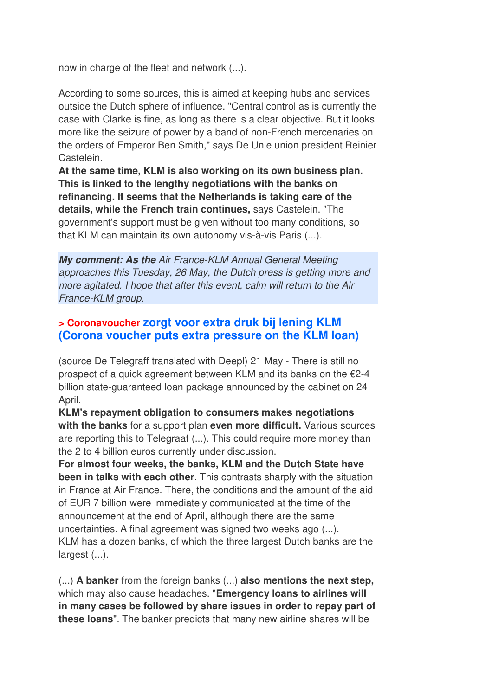now in charge of the fleet and network (...).

According to some sources, this is aimed at keeping hubs and services outside the Dutch sphere of influence. "Central control as is currently the case with Clarke is fine, as long as there is a clear objective. But it looks more like the seizure of power by a band of non-French mercenaries on the orders of Emperor Ben Smith," says De Unie union president Reinier Castelein.

**At the same time, KLM is also working on its own business plan. This is linked to the lengthy negotiations with the banks on refinancing. It seems that the Netherlands is taking care of the details, while the French train continues,** says Castelein. "The government's support must be given without too many conditions, so that KLM can maintain its own autonomy vis-à-vis Paris (...).

**My comment: As the** Air France-KLM Annual General Meeting approaches this Tuesday, 26 May, the Dutch press is getting more and more agitated. I hope that after this event, calm will return to the Air France-KLM group.

#### **> Coronavoucher zorgt voor extra druk bij lening KLM (Corona voucher puts extra pressure on the KLM loan)**

(source De Telegraff translated with Deepl) 21 May - There is still no prospect of a quick agreement between KLM and its banks on the €2-4 billion state-guaranteed loan package announced by the cabinet on 24 April.

**KLM's repayment obligation to consumers makes negotiations with the banks** for a support plan **even more difficult.** Various sources are reporting this to Telegraaf (...). This could require more money than the 2 to 4 billion euros currently under discussion.

**For almost four weeks, the banks, KLM and the Dutch State have been in talks with each other**. This contrasts sharply with the situation in France at Air France. There, the conditions and the amount of the aid of EUR 7 billion were immediately communicated at the time of the announcement at the end of April, although there are the same uncertainties. A final agreement was signed two weeks ago (...). KLM has a dozen banks, of which the three largest Dutch banks are the largest (...).

(...) **A banker** from the foreign banks (...) **also mentions the next step,** which may also cause headaches. "**Emergency loans to airlines will in many cases be followed by share issues in order to repay part of these loans**". The banker predicts that many new airline shares will be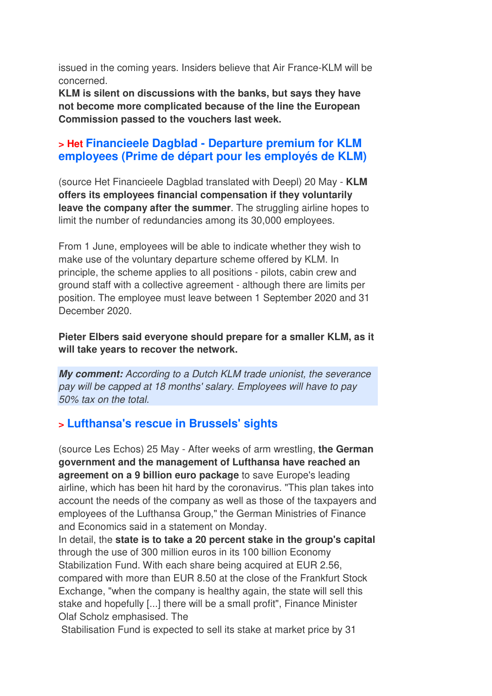issued in the coming years. Insiders believe that Air France-KLM will be concerned.

**KLM is silent on discussions with the banks, but says they have not become more complicated because of the line the European Commission passed to the vouchers last week.**

#### **> Het Financieele Dagblad - Departure premium for KLM employees (Prime de départ pour les employés de KLM)**

(source Het Financieele Dagblad translated with Deepl) 20 May - **KLM offers its employees financial compensation if they voluntarily leave the company after the summer**. The struggling airline hopes to limit the number of redundancies among its 30,000 employees.

From 1 June, employees will be able to indicate whether they wish to make use of the voluntary departure scheme offered by KLM. In principle, the scheme applies to all positions - pilots, cabin crew and ground staff with a collective agreement - although there are limits per position. The employee must leave between 1 September 2020 and 31 December 2020.

**Pieter Elbers said everyone should prepare for a smaller KLM, as it will take years to recover the network.**

**My comment:** According to a Dutch KLM trade unionist, the severance pay will be capped at 18 months' salary. Employees will have to pay 50% tax on the total.

### **> Lufthansa's rescue in Brussels' sights**

(source Les Echos) 25 May - After weeks of arm wrestling, **the German government and the management of Lufthansa have reached an agreement on a 9 billion euro package** to save Europe's leading airline, which has been hit hard by the coronavirus. "This plan takes into account the needs of the company as well as those of the taxpayers and employees of the Lufthansa Group," the German Ministries of Finance and Economics said in a statement on Monday.

In detail, the **state is to take a 20 percent stake in the group's capital** through the use of 300 million euros in its 100 billion Economy Stabilization Fund. With each share being acquired at EUR 2.56, compared with more than EUR 8.50 at the close of the Frankfurt Stock Exchange, "when the company is healthy again, the state will sell this stake and hopefully [...] there will be a small profit", Finance Minister Olaf Scholz emphasised. The

Stabilisation Fund is expected to sell its stake at market price by 31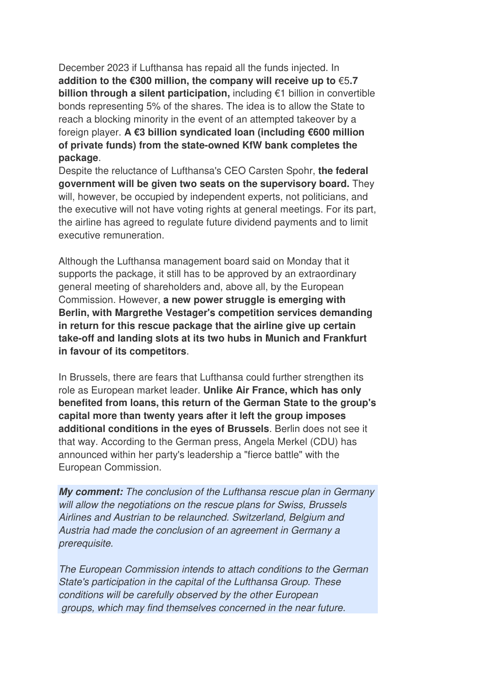December 2023 if Lufthansa has repaid all the funds injected. In **addition to the €300 million, the company will receive up to** €5**.7 billion through a silent participation,** including €1 billion in convertible bonds representing 5% of the shares. The idea is to allow the State to reach a blocking minority in the event of an attempted takeover by a foreign player. **A €3 billion syndicated loan (including €600 million of private funds) from the state-owned KfW bank completes the package**.

Despite the reluctance of Lufthansa's CEO Carsten Spohr, **the federal government will be given two seats on the supervisory board.** They will, however, be occupied by independent experts, not politicians, and the executive will not have voting rights at general meetings. For its part, the airline has agreed to regulate future dividend payments and to limit executive remuneration.

Although the Lufthansa management board said on Monday that it supports the package, it still has to be approved by an extraordinary general meeting of shareholders and, above all, by the European Commission. However, **a new power struggle is emerging with Berlin, with Margrethe Vestager's competition services demanding in return for this rescue package that the airline give up certain take-off and landing slots at its two hubs in Munich and Frankfurt in favour of its competitors**.

In Brussels, there are fears that Lufthansa could further strengthen its role as European market leader. **Unlike Air France, which has only benefited from loans, this return of the German State to the group's capital more than twenty years after it left the group imposes additional conditions in the eyes of Brussels**. Berlin does not see it that way. According to the German press, Angela Merkel (CDU) has announced within her party's leadership a "fierce battle" with the European Commission.

**My comment:** The conclusion of the Lufthansa rescue plan in Germany will allow the negotiations on the rescue plans for Swiss, Brussels Airlines and Austrian to be relaunched. Switzerland, Belgium and Austria had made the conclusion of an agreement in Germany a prerequisite.

The European Commission intends to attach conditions to the German State's participation in the capital of the Lufthansa Group. These conditions will be carefully observed by the other European groups, which may find themselves concerned in the near future.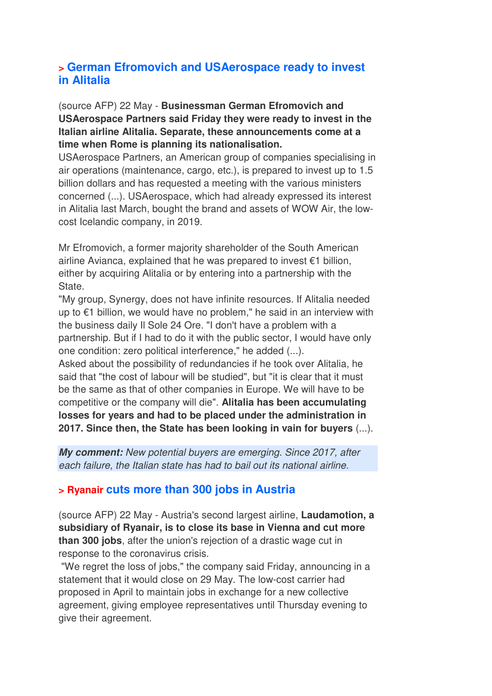#### **> German Efromovich and USAerospace ready to invest in Alitalia**

(source AFP) 22 May - **Businessman German Efromovich and USAerospace Partners said Friday they were ready to invest in the Italian airline Alitalia. Separate, these announcements come at a time when Rome is planning its nationalisation.** 

USAerospace Partners, an American group of companies specialising in air operations (maintenance, cargo, etc.), is prepared to invest up to 1.5 billion dollars and has requested a meeting with the various ministers concerned (...). USAerospace, which had already expressed its interest in Alitalia last March, bought the brand and assets of WOW Air, the lowcost Icelandic company, in 2019.

Mr Efromovich, a former majority shareholder of the South American airline Avianca, explained that he was prepared to invest €1 billion, either by acquiring Alitalia or by entering into a partnership with the State.

"My group, Synergy, does not have infinite resources. If Alitalia needed up to €1 billion, we would have no problem," he said in an interview with the business daily Il Sole 24 Ore. "I don't have a problem with a partnership. But if I had to do it with the public sector, I would have only one condition: zero political interference," he added (...).

Asked about the possibility of redundancies if he took over Alitalia, he said that "the cost of labour will be studied", but "it is clear that it must be the same as that of other companies in Europe. We will have to be competitive or the company will die". **Alitalia has been accumulating losses for years and had to be placed under the administration in 2017. Since then, the State has been looking in vain for buyers** (...).

**My comment:** New potential buyers are emerging. Since 2017, after each failure, the Italian state has had to bail out its national airline.

#### **> Ryanair cuts more than 300 jobs in Austria**

(source AFP) 22 May - Austria's second largest airline, **Laudamotion, a subsidiary of Ryanair, is to close its base in Vienna and cut more than 300 jobs**, after the union's rejection of a drastic wage cut in response to the coronavirus crisis.

 "We regret the loss of jobs," the company said Friday, announcing in a statement that it would close on 29 May. The low-cost carrier had proposed in April to maintain jobs in exchange for a new collective agreement, giving employee representatives until Thursday evening to give their agreement.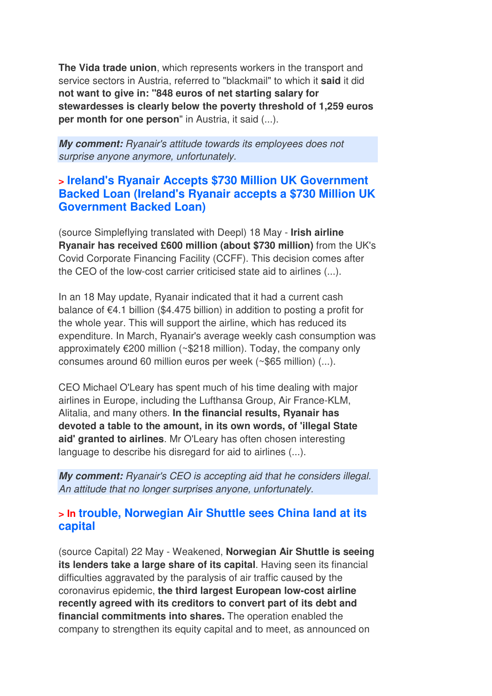**The Vida trade union**, which represents workers in the transport and service sectors in Austria, referred to "blackmail" to which it **said** it did **not want to give in: "848 euros of net starting salary for stewardesses is clearly below the poverty threshold of 1,259 euros per month for one person**" in Austria, it said (...).

**My comment:** Ryanair's attitude towards its employees does not surprise anyone anymore, unfortunately.

#### **> Ireland's Ryanair Accepts \$730 Million UK Government Backed Loan (Ireland's Ryanair accepts a \$730 Million UK Government Backed Loan)**

(source Simpleflying translated with Deepl) 18 May - **Irish airline Ryanair has received £600 million (about \$730 million)** from the UK's Covid Corporate Financing Facility (CCFF). This decision comes after the CEO of the low-cost carrier criticised state aid to airlines (...).

In an 18 May update, Ryanair indicated that it had a current cash balance of €4.1 billion (\$4.475 billion) in addition to posting a profit for the whole year. This will support the airline, which has reduced its expenditure. In March, Ryanair's average weekly cash consumption was approximately €200 million (~\$218 million). Today, the company only consumes around 60 million euros per week (~\$65 million) (...).

CEO Michael O'Leary has spent much of his time dealing with major airlines in Europe, including the Lufthansa Group, Air France-KLM, Alitalia, and many others. **In the financial results, Ryanair has devoted a table to the amount, in its own words, of 'illegal State aid' granted to airlines**. Mr O'Leary has often chosen interesting language to describe his disregard for aid to airlines (...).

**My comment:** Ryanair's CEO is accepting aid that he considers illegal. An attitude that no longer surprises anyone, unfortunately.

#### **> In trouble, Norwegian Air Shuttle sees China land at its capital**

(source Capital) 22 May - Weakened, **Norwegian Air Shuttle is seeing its lenders take a large share of its capital**. Having seen its financial difficulties aggravated by the paralysis of air traffic caused by the coronavirus epidemic, **the third largest European low-cost airline recently agreed with its creditors to convert part of its debt and financial commitments into shares.** The operation enabled the company to strengthen its equity capital and to meet, as announced on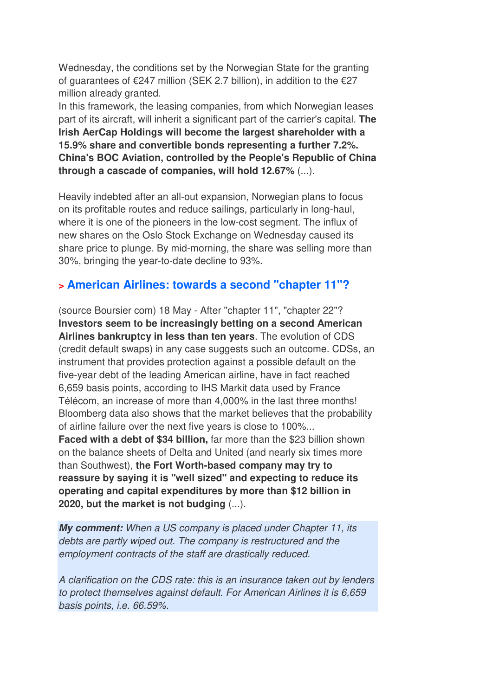Wednesday, the conditions set by the Norwegian State for the granting of guarantees of  $\epsilon$ 247 million (SEK 2.7 billion), in addition to the  $\epsilon$ 27 million already granted.

In this framework, the leasing companies, from which Norwegian leases part of its aircraft, will inherit a significant part of the carrier's capital. **The Irish AerCap Holdings will become the largest shareholder with a 15.9% share and convertible bonds representing a further 7.2%. China's BOC Aviation, controlled by the People's Republic of China through a cascade of companies, will hold 12.67%** (...).

Heavily indebted after an all-out expansion, Norwegian plans to focus on its profitable routes and reduce sailings, particularly in long-haul, where it is one of the pioneers in the low-cost segment. The influx of new shares on the Oslo Stock Exchange on Wednesday caused its share price to plunge. By mid-morning, the share was selling more than 30%, bringing the year-to-date decline to 93%.

#### **> American Airlines: towards a second "chapter 11"?**

(source Boursier com) 18 May - After "chapter 11", "chapter 22"? **Investors seem to be increasingly betting on a second American Airlines bankruptcy in less than ten years**. The evolution of CDS (credit default swaps) in any case suggests such an outcome. CDSs, an instrument that provides protection against a possible default on the five-year debt of the leading American airline, have in fact reached 6,659 basis points, according to IHS Markit data used by France Télécom, an increase of more than 4,000% in the last three months! Bloomberg data also shows that the market believes that the probability of airline failure over the next five years is close to 100%... **Faced with a debt of \$34 billion,** far more than the \$23 billion shown on the balance sheets of Delta and United (and nearly six times more than Southwest), **the Fort Worth-based company may try to reassure by saying it is "well sized" and expecting to reduce its operating and capital expenditures by more than \$12 billion in 2020, but the market is not budging** (...).

**My comment:** When a US company is placed under Chapter 11, its debts are partly wiped out. The company is restructured and the employment contracts of the staff are drastically reduced.

A clarification on the CDS rate: this is an insurance taken out by lenders to protect themselves against default. For American Airlines it is 6,659 basis points, i.e. 66.59%.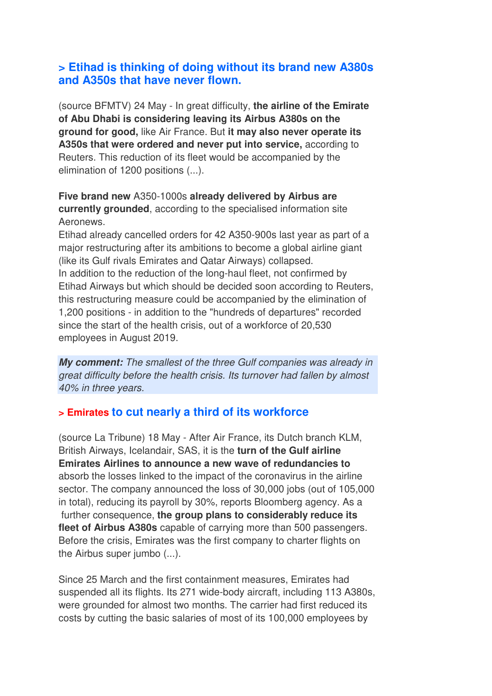#### **> Etihad is thinking of doing without its brand new A380s and A350s that have never flown.**

(source BFMTV) 24 May - In great difficulty, **the airline of the Emirate of Abu Dhabi is considering leaving its Airbus A380s on the ground for good,** like Air France. But **it may also never operate its A350s that were ordered and never put into service,** according to Reuters. This reduction of its fleet would be accompanied by the elimination of 1200 positions (...).

**Five brand new** A350-1000s **already delivered by Airbus are currently grounded**, according to the specialised information site Aeronews.

Etihad already cancelled orders for 42 A350-900s last year as part of a major restructuring after its ambitions to become a global airline giant (like its Gulf rivals Emirates and Qatar Airways) collapsed. In addition to the reduction of the long-haul fleet, not confirmed by Etihad Airways but which should be decided soon according to Reuters, this restructuring measure could be accompanied by the elimination of 1,200 positions - in addition to the "hundreds of departures" recorded since the start of the health crisis, out of a workforce of 20,530 employees in August 2019.

**My comment:** The smallest of the three Gulf companies was already in great difficulty before the health crisis. Its turnover had fallen by almost 40% in three years.

#### **> Emirates to cut nearly a third of its workforce**

(source La Tribune) 18 May - After Air France, its Dutch branch KLM, British Airways, Icelandair, SAS, it is the **turn of the Gulf airline Emirates Airlines to announce a new wave of redundancies to** absorb the losses linked to the impact of the coronavirus in the airline sector. The company announced the loss of 30,000 jobs (out of 105,000 in total), reducing its payroll by 30%, reports Bloomberg agency. As a further consequence, **the group plans to considerably reduce its fleet of Airbus A380s** capable of carrying more than 500 passengers. Before the crisis, Emirates was the first company to charter flights on the Airbus super jumbo (...).

Since 25 March and the first containment measures, Emirates had suspended all its flights. Its 271 wide-body aircraft, including 113 A380s, were grounded for almost two months. The carrier had first reduced its costs by cutting the basic salaries of most of its 100,000 employees by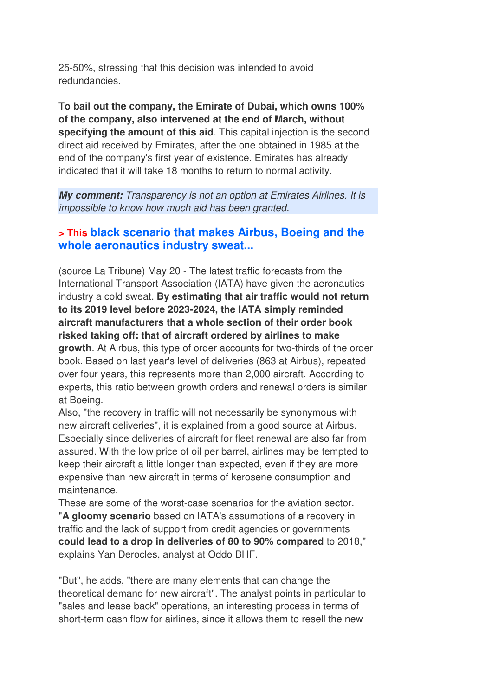25-50%, stressing that this decision was intended to avoid redundancies.

**To bail out the company, the Emirate of Dubai, which owns 100% of the company, also intervened at the end of March, without specifying the amount of this aid**. This capital injection is the second direct aid received by Emirates, after the one obtained in 1985 at the end of the company's first year of existence. Emirates has already indicated that it will take 18 months to return to normal activity.

**My comment:** Transparency is not an option at Emirates Airlines. It is impossible to know how much aid has been granted.

#### **> This black scenario that makes Airbus, Boeing and the whole aeronautics industry sweat...**

(source La Tribune) May 20 - The latest traffic forecasts from the International Transport Association (IATA) have given the aeronautics industry a cold sweat. **By estimating that air traffic would not return to its 2019 level before 2023-2024, the IATA simply reminded aircraft manufacturers that a whole section of their order book risked taking off: that of aircraft ordered by airlines to make growth**. At Airbus, this type of order accounts for two-thirds of the order book. Based on last year's level of deliveries (863 at Airbus), repeated over four years, this represents more than 2,000 aircraft. According to experts, this ratio between growth orders and renewal orders is similar at Boeing.

Also, "the recovery in traffic will not necessarily be synonymous with new aircraft deliveries", it is explained from a good source at Airbus. Especially since deliveries of aircraft for fleet renewal are also far from assured. With the low price of oil per barrel, airlines may be tempted to keep their aircraft a little longer than expected, even if they are more expensive than new aircraft in terms of kerosene consumption and maintenance.

These are some of the worst-case scenarios for the aviation sector. "**A gloomy scenario** based on IATA's assumptions of **a** recovery in traffic and the lack of support from credit agencies or governments **could lead to a drop in deliveries of 80 to 90% compared** to 2018," explains Yan Derocles, analyst at Oddo BHF.

"But", he adds, "there are many elements that can change the theoretical demand for new aircraft". The analyst points in particular to "sales and lease back" operations, an interesting process in terms of short-term cash flow for airlines, since it allows them to resell the new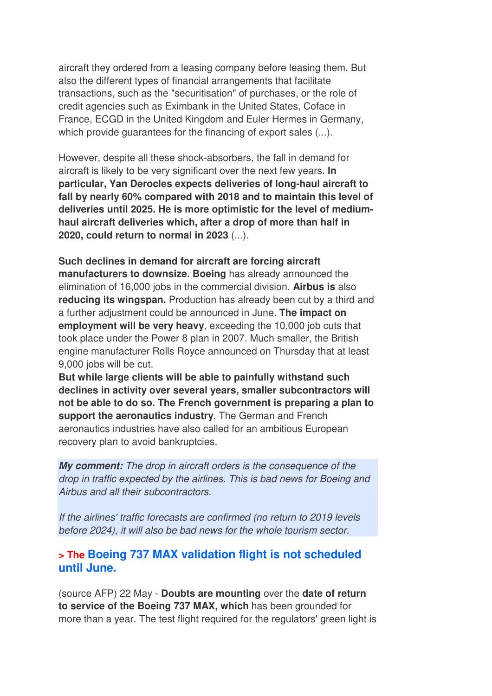aircraft they ordered from a leasing company before leasing them. But also the different types of financial arrangements that facilitate transactions, such as the "securitisation" of purchases, or the role of credit agencies such as Eximbank in the United States, Coface in France, ECGD in the United Kingdom and Euler Hermes in Germany, which provide guarantees for the financing of export sales (...).

However, despite all these shock-absorbers, the fall in demand for aircraft is likely to be very significant over the next few years. **In particular, Yan Derocles expects deliveries of long-haul aircraft to fall by nearly 60% compared with 2018 and to maintain this level of deliveries until 2025. He is more optimistic for the level of mediumhaul aircraft deliveries which, after a drop of more than half in 2020, could return to normal in 2023** (...).

**Such declines in demand for aircraft are forcing aircraft manufacturers to downsize. Boeing** has already announced the elimination of 16,000 jobs in the commercial division. **Airbus is** also **reducing its wingspan.** Production has already been cut by a third and a further adjustment could be announced in June. **The impact on employment will be very heavy**, exceeding the 10,000 job cuts that took place under the Power 8 plan in 2007. Much smaller, the British engine manufacturer Rolls Royce announced on Thursday that at least 9,000 jobs will be cut.

**But while large clients will be able to painfully withstand such declines in activity over several years, smaller subcontractors will not be able to do so. The French government is preparing a plan to support the aeronautics industry**. The German and French aeronautics industries have also called for an ambitious European recovery plan to avoid bankruptcies.

**My comment:** The drop in aircraft orders is the consequence of the drop in traffic expected by the airlines. This is bad news for Boeing and Airbus and all their subcontractors.

If the airlines' traffic forecasts are confirmed (no return to 2019 levels before 2024), it will also be bad news for the whole tourism sector.

#### **> The Boeing 737 MAX validation flight is not scheduled until June.**

(source AFP) 22 May - **Doubts are mounting** over the **date of return to service of the Boeing 737 MAX, which** has been grounded for more than a year. The test flight required for the regulators' green light is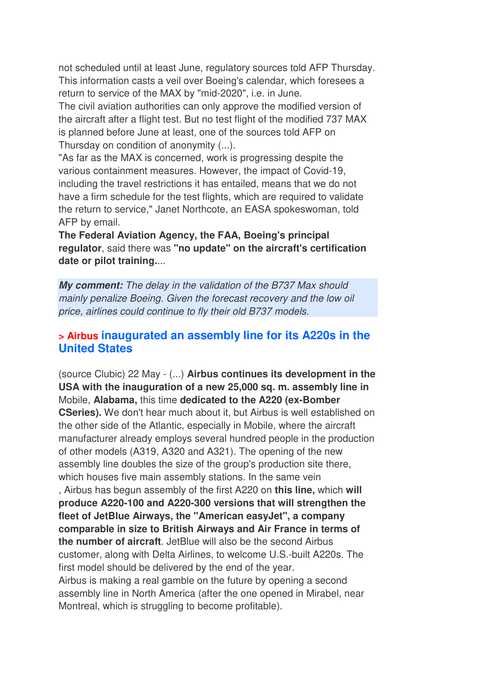not scheduled until at least June, regulatory sources told AFP Thursday. This information casts a veil over Boeing's calendar, which foresees a return to service of the MAX by "mid-2020", i.e. in June.

The civil aviation authorities can only approve the modified version of the aircraft after a flight test. But no test flight of the modified 737 MAX is planned before June at least, one of the sources told AFP on Thursday on condition of anonymity (...).

"As far as the MAX is concerned, work is progressing despite the various containment measures. However, the impact of Covid-19, including the travel restrictions it has entailed, means that we do not have a firm schedule for the test flights, which are required to validate the return to service," Janet Northcote, an EASA spokeswoman, told AFP by email.

**The Federal Aviation Agency, the FAA, Boeing's principal regulator**, said there was **"no update" on the aircraft's certification date or pilot training.**...

**My comment:** The delay in the validation of the B737 Max should mainly penalize Boeing. Given the forecast recovery and the low oil price, airlines could continue to fly their old B737 models.

#### **> Airbus inaugurated an assembly line for its A220s in the United States**

(source Clubic) 22 May - (...) **Airbus continues its development in the USA with the inauguration of a new 25,000 sq. m. assembly line in**  Mobile, **Alabama,** this time **dedicated to the A220 (ex-Bomber CSeries).** We don't hear much about it, but Airbus is well established on the other side of the Atlantic, especially in Mobile, where the aircraft manufacturer already employs several hundred people in the production of other models (A319, A320 and A321). The opening of the new assembly line doubles the size of the group's production site there, which houses five main assembly stations. In the same vein , Airbus has begun assembly of the first A220 on **this line,** which **will produce A220-100 and A220-300 versions that will strengthen the fleet of JetBlue Airways, the "American easyJet", a company comparable in size to British Airways and Air France in terms of the number of aircraft**. JetBlue will also be the second Airbus customer, along with Delta Airlines, to welcome U.S.-built A220s. The first model should be delivered by the end of the year. Airbus is making a real gamble on the future by opening a second assembly line in North America (after the one opened in Mirabel, near Montreal, which is struggling to become profitable).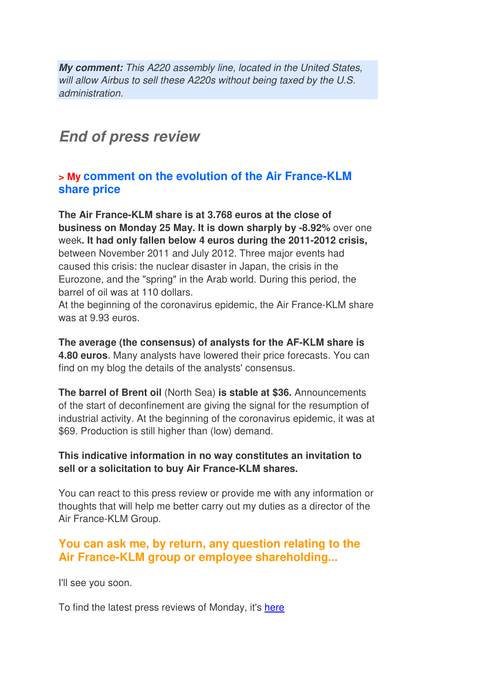**My comment:** This A220 assembly line, located in the United States, will allow Airbus to sell these A220s without being taxed by the U.S. administration.

## **End of press review**

#### **> My comment on the evolution of the Air France-KLM share price**

**The Air France-KLM share is at 3.768 euros at the close of business on Monday 25 May. It is down sharply by -8.92%** over one week**. It had only fallen below 4 euros during the 2011-2012 crisis,** between November 2011 and July 2012. Three major events had caused this crisis: the nuclear disaster in Japan, the crisis in the Eurozone, and the "spring" in the Arab world. During this period, the barrel of oil was at 110 dollars.

At the beginning of the coronavirus epidemic, the Air France-KLM share was at 9.93 euros.

**The average (the consensus) of analysts for the AF-KLM share is 4.80 euros**. Many analysts have lowered their price forecasts. You can find on my blog the details of the analysts' consensus.

**The barrel of Brent oil** (North Sea) **is stable at \$36.** Announcements of the start of deconfinement are giving the signal for the resumption of industrial activity. At the beginning of the coronavirus epidemic, it was at \$69. Production is still higher than (low) demand.

#### **This indicative information in no way constitutes an invitation to sell or a solicitation to buy Air France-KLM shares.**

You can react to this press review or provide me with any information or thoughts that will help me better carry out my duties as a director of the Air France-KLM Group.

### **You can ask me, by return, any question relating to the Air France-KLM group or employee shareholding...**

I'll see you soon.

To find the latest press reviews of Monday, it's here